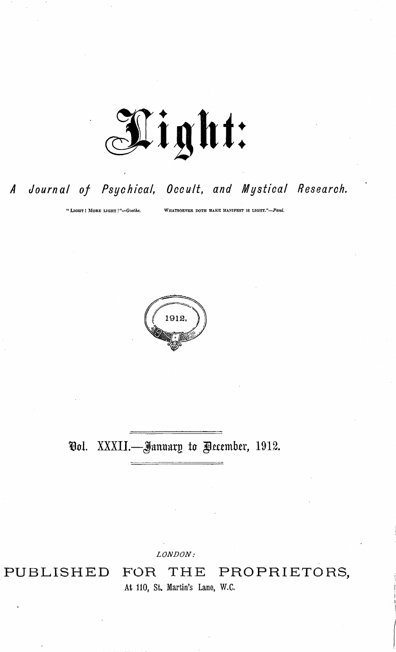

## *<sup>A</sup> Journal of Psychical, Occult, and Mystical Research.*

"Light **<sup>I</sup>** More light !*''—Goethe.* Whatsoever doth make manifest is light."—*Paul.*



## Vol. XXXII.—January to December, 1912.

*LONDON:*

PUBLISHED FOR THE PROPRIETORS, At 110, St. Martin's Lane, W.C.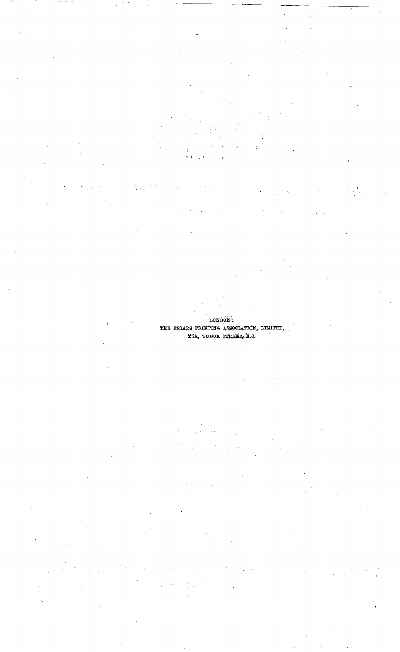**LONDON : THE FKIA.BS POINTING ASSOCIATION, LIMITED, 26A, TUDOB STBEET, -E.0.**

زبيد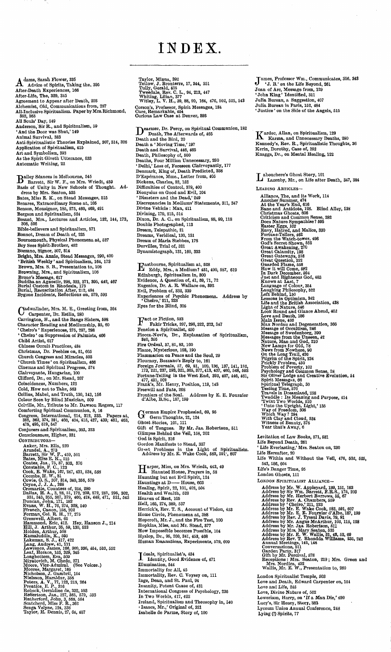## INDEX

A **dams, Sarah Flower, 336 Advice of Spirits, Taking the, 395** After-Death Experiences, 166<br>After-Life, The, 329, 345<br>Agreement to Appear after Death, 203<br>Alchemist, Old, Communications from, 237<br>All-Inclusive Spiritualism. Paper by Mrs.Richmond, 352, 363<br>All Souls' Day, 549<br>Anderson, Sir R., and Spiritualism, 59<br>'And the Door was Shut,' 149<br>Animal Survival, 383<br>Anti-Spiritualistic Theories Explained, 307, 314, 326 **Application of Spiritualism, 415 Art and Symbolism, 393 As the Spirit Giveth Utterance, 533 Automatic Writing, 22**

Bailey Séances in Melbourne, 545<br>Basis of Unity in New Schools of Thought. 459<br>Basis of Unity in New Schools of Thought. Address by Mrs. Seaton, 535<br>Bates, Miss E. K., on Stead Messages, 515 Benares, Extraordinary Scene at, 105<br>Benson, Monsignor, 185, 275, 460, 469, 491<br>Bergson and Spiritualism, 524<br>Besant, Mrs., Lectures and Articles, 132, 144, 173,<br>308, 526 **Bible-believers and Spiritualism, 571 Bonnot, Dream of Death of, 225 Bournemouth, Physical Phenomena at, 527** Boy Sees Spirit-Brother, 452<br>Bozzano, Signor, 307, 314<br>Bright, Mrs. Annie, Stead Messages, 290, 400<br>Bright, Mrs. Annie, Stead Messages, 290, 400<br>'British Weekly' and Spiritualism, 164, 173<br>Brown, Mrs. S. B., Presentation t

Compenser, Dr. Esklin, 280<br>Carrington, H., and the Bangs Sisters, 598<br>Character Reading and Mediumship, 85, 60<br>Charic's 'Experiences, 275, 297, 298<br>Cheiro's 'Experiences, 275, 297, 298<br>Cheiro' on Suppression of Palmists, 4 **adwallader, Mrs. M. E., Greeting from, 364 Child Artist, 617 Chinese Occult Practices, 484** Christmas, Dr. Peebles on, 51, 605<br>Church Congress and Miracles, 503<br>"Church Times ' on Spiritualism, 466<br>Cinemas and Spiritual Progress, 574 Clairvoyante, Hungarian, 100<br>Clifford, Dr., on Mr. Stead, 207<br>Coincidences, Numbers, 123<br>Cold, How not to Take, 563<br>Collins, Mabel, and Truth, 130, 143, 156<br>Colour Seen by Blind Musician, 509<br>Colville, Mr., Tribute to Mr. Conjurers and Spiritualism, 303, 323<br>
Constrousnes, Higher, 331<br>
Constrainty<br>
Constrainty<br>
Arundel, A., 271<br>
Arundel, A., 273<br>
Barrett, Sir W. F., 459, 501<br>
Dates, Miss E. K., 515<br>
Constable F. C., 123<br>
Constraint, B. W.

Taylor, Minna, 392<br>Teilow, J. Bronterre, 17, 344, 351<br>Tully, Gerald, 405<br>Tully, Gerald, 405<br>Whiting, Lilian, 377<br>Whitley, L. V. H., 39, 88, 99, 164, 476, 502, 525, 543 **Corson's, Professor, Spirit Messages, 184 Cure, Remarkable, 464 Curious Law Case at Denver, 893**

**Dearmer, Dr. Percy, on Spiritual Communion, 182**<br>Death and the Bird, 20<br>Death a 'Moving Time,' 197<br>Death a 'Moving Time,' 197<br>Death and Survival, 446, 465<br>Death, Philosophy of, 500 Deaths, Four Million Unnecessary, 280<br>
'Delhi,' Loss of, Foreseon Clairvoyantly, 177<br>
Demnark, King of, Death Predicted, 358<br>
D'Espérance, Mme., Letter from, 405<br>
D'Espérance, Mme., Letter from, 405<br>
Dickens, Charles, 82,

**Franch** Spiritualism at, 528<br>Eddy, Mrs., a Medium? 451, 490, 587, 619<br>Edinburgh, Spiritualism in, 300<br>Evidence, A Question of, 41, 59, 71, 72<br>Eugenics, Dr. A. R. Wallace on, 392 Evil, Problem of, 332, 339<br>Experiences of Psychic Phenomena. Address by<br>'Cheiro,' 211, 223<br>Eyes for the Blind, 305

**TTlact or Fiction, 533 -T Fakir Tricks, 297, 298,322, 323, 347 Fenelon a Spiritualist, 450** Fiocca-Novi's, Dr., Explanation of Spiritualism,<br>B40, 356<br>Fire Ordeal, 37, 81, 83, 100<br>Flame, Mysterious, 168, 190<br>Flammarion on Peace and the Soul, 29 Flournoy, Bozzano's Reply to, 161<br>
Foreign Journals, 57, 69, 81, 100, 136, 137, 141, 152,<br>
173, 221, 237, 293, 321, 365, 377, 413, 437, 460, 548, 593<br>
Fortune-Telling in the West End, 393, 407, 446, 461,<br>  $437$ , 460, 562<br> German Empire Prophesied, 69, 95<br>
Ghost Stories, 21, 124<br>
Ghost Stories, 101, 111<br>
Gift of Tongues. By Mr. Jas. Robertson, 511<br>
Gift of Tongues. By Mr. Jas. Robertson, 511<br>
Gilmyse Behind the Veil, 158, 202 God is Spirit, 316<br>Gordon Manifests to Stead, 327<br>Grast Problems in the Light of Spiritualism<br>Address by Mr. E. Wake Cook, 583, 591, 607

**Harper, Miss, on Mrs. Wriedt, 443, 49**<br>Hauntied House, Prayers in, 58<br>Haunting but not Evil Spirit, 124<br>Hauntings at D—— House, 603<br>Healing, Spirit, 22, 101, 408, 504<br>Health and Wealth, 520<br>Heaven of Rest, 105 **Hell, 165, 274, 389, 537 Herrick's, Rev. T, S., Account of Vision, 453 Home Circle, Phenomena at, 388 Hopcroft, Mr. J., and the Fire Test, 100 Hopkins, Miss, and Mr. Stead, 877 How Impossible becomes Possible, 104 Hyslop, Dr., 95, 209, 341, 453, 468 Human Emanations, Experiments, 579, 609**

I deals, Spiritualist's, 434<br>
I Idmination, 544<br>
Ilumination, 544<br>
Immortality for All, 45<br>
Immortality, Rev. C. Voysey on, 111<br>
Inge, Dean, and St. Paul, 94<br>
Insanity, Potent Cause of, 431<br>
International Congress of Psych **Ireland, Spiritualism and Theosophy in, 640 « Isaacs, Mr.,' Original of, 321 Isabelle de Parme, Story of, 100**

James, Professor Wm., Communicates, 316, 343<br>
'J. B.' on the Life Beyond, 261<br>
Joan of Arc, Message from, 129<br>
'John King' Identified, 311<br>
Julia Bureau, a Suggestion, 407<br>
Julia Bureau in Paris, 152, 484<br>
'Justice' on the

Kardec, Allan, on Spiritualism, 129<br>Karma, and Unnecessary Deaths, 280<br>Kennedy's, Rev. R., Spiritualistic Thoughts, 36 **Kerin, Dorothy, Case of, 292 Knaggs, Dr., on Mental Healing, 122**

L **abouchere's Ghost Story, 101 Lazenby, Mr., on Life after Death, 347, 384** Leading Articles— Alliance, The, and its Work, 114<br>Another Summer, 474<br>Arother Summer, 474<br>Arother Summer, 474<br>Bane and Antidote, 126. Blind Alley, 138<br>Christinas Ghosts, 606<br>Dess Nature Sympachies ? 595<br>Dess Nature Sympachies ? 595<br>Envy, H **Levitation of Law Books, 671, 581 Life Beyond Death, 261 <sup>1</sup> Life Everlasting,' Mrs. Seaton on, 230 Life Hereafter, 20 Life Within and Without the Veil, 476, 502, 625, 543, 586, 604 Life's Danger Time, 95 London Ghosts, 111** London Spiritualist Alliance— Address by Mr. W. Appleyard, 139, 151, 163<br>
Address by Sir Wm. Barrett, FR.S., 175, 203<br>
Address by Sir Wm. Barrett, FR.S., 175, 203<br>
Address by Rev. A. Chambers, 559<br>
Address by Nr. E. Wake Cook, 583, 591, 607<br>
Address b **London Spiritualist Temple, 503 Love and Death, Edward Carpenter on, 154 Love and Life, 245 Love, Divine Nature of, 562** Lowerison, Harry, on 'If a Man Die,' 499<br>Lucy's, Sir Henry, Story, 383<br>Lyceum Union Annual Conference, 248<br>Lying (?) Spirits, 77